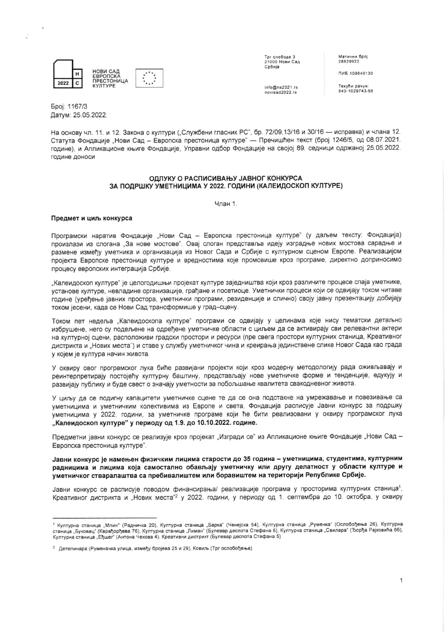|      | <b>НОВИ САД</b><br><b>ЕВРОПСКА</b>  |  |
|------|-------------------------------------|--|
| 2022 | <b>ПРЕСТОНИЦА</b><br><b>КУЛТУРЕ</b> |  |

Трг слободе 3<br>21000 Нови Сад Србија

novisad2022.rs

info@ns2021.rs

Матични број 28829922

ПИБ 109849130

Текући рачун:<br>840-1029743-58

Број: 1167/3 Датум: 25.05.2022.

На основу чл. 11. и 12. Закона о култури ("Службени гласник РС", бр. 72/09,13/16 и 30/16 - исправка) и члана 12. Статута Фондације "Нови Сад - Европска престоница културе" - Пречишћен текст (број 1246/5, од 08.07.2021. године), и Апликационе књиге Фондације, Управни одбор Фондације на својој 89. седници одржаној 25.05.2022. године доноси

# ОДЛУКУ О РАСПИСИВАЊУ ЈАВНОГ КОНКУРСА ЗА ПОДРШКУ УМЕТНИЦИМА У 2022. ГОДИНИ (КАЛЕИДОСКОП КУЛТУРЕ)

Члан 1.

# Предмет и циљ конкурса

Програмски наратив Фондације "Нови Сад - Европска престоница културе" (у даљем тексту: Фондација) произлази из слогана "За нове мостове". Овај слоган представља идеју изградње нових мостова сарадње и размене између уметника и организација из Новог Сада и Србије с културном сценом Европе. Реализацијом пројекта Европске престонице културе и вредностима које промовише кроз програме, директно доприносимо процесу европских интеграција Србије.

"Калеидоскоп културе" је целогодишњи пројекат културе заједништва који кроз различите процесе спаја уметнике, установе културе, невладине организације, грађане и посетиоце. Уметнички процеси који се одвијају током читаве године (уређење јавних простора, уметнички програми, резиденције и слично) своју јавну презентацију добијају током јесени, када се Нови Сад трансформише у град-сцену.

Током пет недеља "Калеидоскопа културе" програми се одвијају у целинама које нису тематски детаљно избрушене, него су подељене на одређене уметничке области с циљем да се активирају сви релевантни актери на културној сцени, расположиви градски простори и ресурси (пре свега простори културних станица, Креативног дистрикта и "Нових места") и ставе у службу уметничког чина и креирања јединствене слике Новог Сада као града у којем је култура начин живота.

У оквиру овог програмског лука биће развијани пројекти који кроз модерну методологију рада оживљавају и реинтерпретирају постојећу културну баштину, представљају нове уметничке форме и тенденције, едукују и развијају публику и буде свест о значају уметности за побољшање квалитета свакодневног живота.

У циљу да се подигну капацитети уметничке сцене те да се она подстакне на умрежавање и повезивање са уметницима и уметничким колективима из Европе и света, Фондација расписује Јавни конкурс за подршку уметницима у 2022. години, за уметничке програме који ће бити реализовани у оквиру програмског лука "Калеидоскоп културе" у периоду од 1.9. до 10.10.2022. године.

Предметни јавни конкурс се реализује кроз пројекат "Изгради се" из Апликационе књиге Фондације "Нови Сад -Европска престоница културе".

Јавни конкурс је намењен физичким лицима старости до 35 година - уметницима, студентима, културним радницима и лицима која самостално обављају уметничку или другу делатност у области културе и уметничког стваралаштва са пребивалиштем или боравиштем на територији Републике Србије.

Јавни конкурс се расписује поводом финансирања/ реализације програма у просторима културних станица<sup>1</sup>, Креативног дистрикта и "Нових места" у 2022. години, у периоду од 1. септембра до 10. октобра, у оквиру

<sup>1</sup> Културна станица "Млин" (Радничка 20), Културна станица "Барка" (Ченејска 54), Културна станица "Руменка" (Ослобођења 26), Културна станица "Буковац" (Карађорђева 76), Културна станица "Лиман" (Булевар деспота Стефана 5), Културна станица "Свилара" (Ђорђа Рајковића 6б), Културна станица "Еђшег" (Антона Чехова 4), Креативни дистрикт (Булевар деспота Стефана 5)

<sup>2</sup> Детелинара (Руменачка улица, између бројева 25 и 29), Ковиљ (Трг ослобођења)